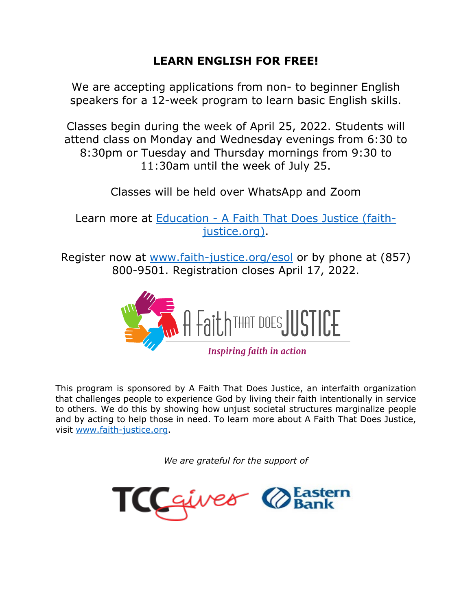## **LEARN ENGLISH FOR FREE!**

We are accepting applications from non- to beginner English speakers for a 12-week program to learn basic English skills.

Classes begin during the week of April 25, 2022. Students will attend class on Monday and Wednesday evenings from 6:30 to 8:30pm or Tuesday and Thursday mornings from 9:30 to 11:30am until the week of July 25.

Classes will be held over WhatsApp and Zoom

Learn more at Education - [A Faith That Does Justice \(faith](https://www.faith-justice.org/education/)[justice.org\).](https://www.faith-justice.org/education/)

Register now at [www.faith-justice.org/esol](http://www.faith-justice.org/esol) or by phone at (857) 800-9501. Registration closes April 17, 2022.



**Inspiring faith in action** 

This program is sponsored by A Faith That Does Justice, an interfaith organization that challenges people to experience God by living their faith intentionally in service to others. We do this by showing how unjust societal structures marginalize people and by acting to help those in need. To learn more about A Faith That Does Justice, visit [www.faith-justice.org.](http://www.faith-justice.org/)

*We are grateful for the support of*